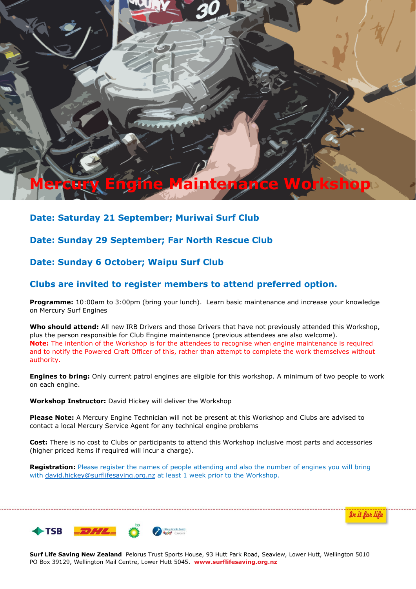# **Mercury Engine Maintenance Workshop**

# **Date: Saturday 21 September; Muriwai Surf Club**

## **Date: Sunday 29 September; Far North Rescue Club**

## **Date: Sunday 6 October; Waipu Surf Club**

## **Clubs are invited to register members to attend preferred option.**

**Programme:** 10:00am to 3:00pm (bring your lunch). Learn basic maintenance and increase your knowledge on Mercury Surf Engines

**Who should attend:** All new IRB Drivers and those Drivers that have not previously attended this Workshop, plus the person responsible for Club Engine maintenance (previous attendees are also welcome). **Note:** The intention of the Workshop is for the attendees to recognise when engine maintenance is required and to notify the Powered Craft Officer of this, rather than attempt to complete the work themselves without authority.

**Engines to bring:** Only current patrol engines are eligible for this workshop. A minimum of two people to work on each engine.

**Workshop Instructor:** David Hickey will deliver the Workshop

**Please Note:** A Mercury Engine Technician will not be present at this Workshop and Clubs are advised to contact a local Mercury Service Agent for any technical engine problems

**Cost:** There is no cost to Clubs or participants to attend this Workshop inclusive most parts and accessories (higher priced items if required will incur a charge).

**Registration:** Please register the names of people attending and also the number of engines you will bring with david.hickey@surflifesaving.org.nz at least 1 week prior to the Workshop.





**Surf Life Saving New Zealand** Pelorus Trust Sports House, 93 Hutt Park Road, Seaview, Lower Hutt, Wellington 5010 PO Box 39129, Wellington Mail Centre, Lower Hutt 5045. **www.surflifesaving.org.nz**